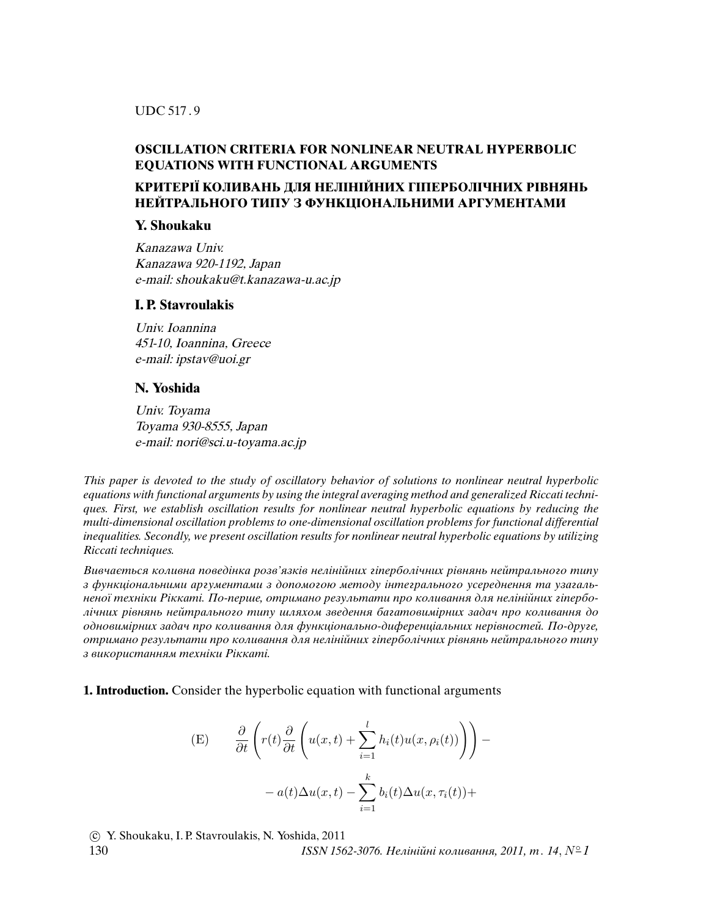UDC 517 . 9

# **OSCILLATION CRITERIA FOR NONLINEAR NEUTRAL HYPERBOLIC EQUATIONS WITH FUNCTIONAL ARGUMENTS**

# **КРИТЕРIЇ КОЛИВАНЬ ДЛЯ НЕЛIНIЙНИХ ГIПЕРБОЛIЧНИХ РIВНЯНЬ НЕЙТРАЛЬНОГО ТИПУ З ФУНКЦIОНАЛЬНИМИ АРГУМЕНТАМИ**

# **Y. Shoukaku**

Kanazawa Univ. Kanazawa 920-1192, Japan e-mail: shoukaku@t.kanazawa-u.ac.jp

## **I. P. Stavroulakis**

Univ. Ioannina 451-10, Ioannina, Greece e-mail: ipstav@uoi.gr

## **N. Yoshida**

Univ. Toyama Toyama 930-8555, Japan e-mail: nori@sci.u-toyama.ac.jp

This paper is devoted to the study of oscillatory behavior of solutions to nonlinear neutral hyperbolic equations with functional arguments by using the integral averaging method and generalized Riccati techniques. First, we establish oscillation results for nonlinear neutral hyperbolic equations by reducing the multi-dimensional oscillation problems to one-dimensional oscillation problems for functional differential inequalities. Secondly, we present oscillation results for nonlinear neutral hyperbolic equations by utilizing Riccati techniques.

Вивчається коливна поведiнка розв'язкiв нелiнiйних гiперболiчних рiвнянь нейтрального типу з функцiональними аргументами з допомогою методу iнтегрального усереднення та узагальненої технiки Рiккатi. По-перше, отримано результати про коливання для нелiнiйних гiперболiчних рiвнянь нейтрального типу шляхом зведення багатовимiрних задач про коливання до одновимiрних задач про коливання для функцiонально-диференцiальних нерiвностей. По-друге, отримано результати про коливання для нелiнiйних гiперболiчних рiвнянь нейтрального типу з використанням технiки Рiккатi.

**1. Introduction.** Consider the hyperbolic equation with functional arguments

(E) 
$$
\frac{\partial}{\partial t} \left( r(t) \frac{\partial}{\partial t} \left( u(x, t) + \sum_{i=1}^{l} h_i(t) u(x, \rho_i(t)) \right) \right) - a(t) \Delta u(x, t) - \sum_{i=1}^{k} b_i(t) \Delta u(x, \tau_i(t)) +
$$

c Y. Shoukaku, I. P. Stavroulakis, N. Yoshida, 2011

130  $ISSN 1562-3076. He*n*i*n*ii*n*io*n*uaanna, 2011, m. 14, N<sup>°</sup>1$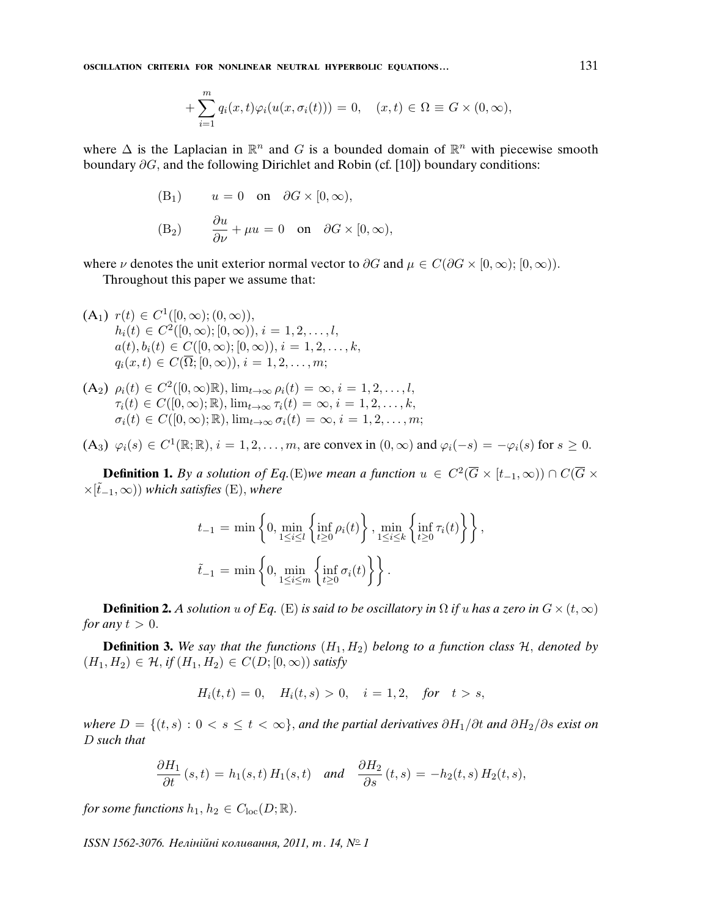**OSCILLATION CRITERIA FOR NONLINEAR NEUTRAL HYPERBOLIC EQUATIONS...** 131

$$
+\sum_{i=1}^m q_i(x,t)\varphi_i(u(x,\sigma_i(t)))=0, \quad (x,t)\in\Omega\equiv G\times(0,\infty),
$$

where  $\Delta$  is the Laplacian in  $\mathbb{R}^n$  and G is a bounded domain of  $\mathbb{R}^n$  with piecewise smooth boundary ∂G, and the following Dirichlet and Robin (cf. [10]) boundary conditions:

(B<sub>1</sub>) 
$$
u = 0
$$
 on  $\partial G \times [0, \infty)$ ,  
\n(B<sub>2</sub>)  $\frac{\partial u}{\partial \nu} + \mu u = 0$  on  $\partial G \times [0, \infty)$ ,

where  $\nu$  denotes the unit exterior normal vector to  $\partial G$  and  $\mu \in C(\partial G \times [0,\infty); [0,\infty)).$ 

Throughout this paper we assume that:

(A<sub>1</sub>) 
$$
r(t) \in C^1([0, \infty); (0, \infty)),
$$
  
\n $h_i(t) \in C^2([0, \infty); [0, \infty)), i = 1, 2, ..., l,$   
\n $a(t), b_i(t) \in C([0, \infty); [0, \infty)), i = 1, 2, ..., k,$   
\n $q_i(x, t) \in C(\overline{\Omega}; [0, \infty)), i = 1, 2, ..., m;$ 

(A<sub>2</sub>) 
$$
\rho_i(t) \in C^2([0,\infty)\mathbb{R})
$$
,  $\lim_{t\to\infty} \rho_i(t) = \infty$ ,  $i = 1, 2, ..., l$ ,  
\n $\tau_i(t) \in C([0,\infty);\mathbb{R})$ ,  $\lim_{t\to\infty} \tau_i(t) = \infty$ ,  $i = 1, 2, ..., k$ ,  
\n $\sigma_i(t) \in C([0,\infty);\mathbb{R})$ ,  $\lim_{t\to\infty} \sigma_i(t) = \infty$ ,  $i = 1, 2, ..., m$ ;

 $(A_3)$   $\varphi_i(s) \in C^1(\mathbb{R}; \mathbb{R}), i = 1, 2, \dots, m$ , are convex in  $(0, \infty)$  and  $\varphi_i(-s) = -\varphi_i(s)$  for  $s \geq 0$ .

**Definition 1.** By a solution of Eq.(E)we mean a function  $u \in C^2(\overline{G} \times [t_{-1}, \infty)) \cap C(\overline{G} \times$  $\times$ [ $\tilde{t}_{-1}, \infty$ )) which satisfies (E), where

$$
t_{-1} = \min\left\{0, \min_{1 \le i \le l} \left\{\inf_{t \ge 0} \rho_i(t)\right\}, \min_{1 \le i \le k} \left\{\inf_{t \ge 0} \tau_i(t)\right\}\right\},\
$$

$$
\tilde{t}_{-1} = \min\left\{0, \min_{1 \le i \le m} \left\{\inf_{t \ge 0} \sigma_i(t)\right\}\right\}.
$$

**Definition 2.** A solution u of Eq. (E) is said to be oscillatory in  $\Omega$  if u has a zero in  $G \times (t, \infty)$ for any  $t > 0$ .

**Definition 3.** We say that the functions  $(H_1, H_2)$  belong to a function class  $H$ , denoted by  $(H_1, H_2) \in \mathcal{H}, \text{if } (H_1, H_2) \in C(D; [0, \infty)) \text{ satisfy}$ 

$$
H_i(t,t) = 0, \quad H_i(t,s) > 0, \quad i = 1,2, \quad \text{for} \quad t > s,
$$

where  $D = \{(t, s) : 0 < s \le t < \infty\}$ , and the partial derivatives  $\partial H_1/\partial t$  and  $\partial H_2/\partial s$  exist on D such that

$$
\frac{\partial H_1}{\partial t}(s,t) = h_1(s,t) H_1(s,t) \quad \text{and} \quad \frac{\partial H_2}{\partial s}(t,s) = -h_2(t,s) H_2(t,s),
$$

for some functions  $h_1, h_2 \in C_{loc}(D;\mathbb{R})$ .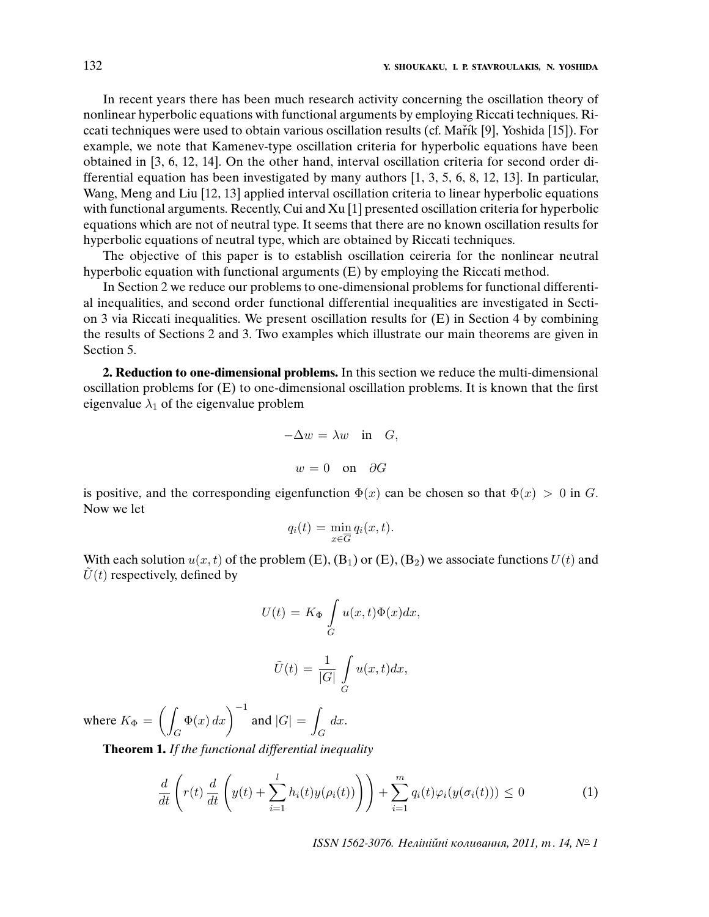In recent years there has been much research activity concerning the oscillation theory of nonlinear hyperbolic equations with functional arguments by employing Riccati techniques. Riccati techniques were used to obtain various oscillation results (cf. Mařík [9], Yoshida [15]). For example, we note that Kamenev-type oscillation criteria for hyperbolic equations have been obtained in [3, 6, 12, 14]. On the other hand, interval oscillation criteria for second order differential equation has been investigated by many authors [1, 3, 5, 6, 8, 12, 13]. In particular, Wang, Meng and Liu [12, 13] applied interval oscillation criteria to linear hyperbolic equations with functional arguments. Recently, Cui and Xu [1] presented oscillation criteria for hyperbolic equations which are not of neutral type. It seems that there are no known oscillation results for hyperbolic equations of neutral type, which are obtained by Riccati techniques.

The objective of this paper is to establish oscillation ceireria for the nonlinear neutral hyperbolic equation with functional arguments (E) by employing the Riccati method.

In Section 2 we reduce our problems to one-dimensional problems for functional differential inequalities, and second order functional differential inequalities are investigated in Section 3 via Riccati inequalities. We present oscillation results for (E) in Section 4 by combining the results of Sections 2 and 3. Two examples which illustrate our main theorems are given in Section 5.

**2. Reduction to one-dimensional problems.** In this section we reduce the multi-dimensional oscillation problems for (E) to one-dimensional oscillation problems. It is known that the first eigenvalue  $\lambda_1$  of the eigenvalue problem

$$
-\Delta w = \lambda w \quad \text{in} \quad G,
$$
  

$$
w = 0 \quad \text{on} \quad \partial G
$$

is positive, and the corresponding eigenfunction  $\Phi(x)$  can be chosen so that  $\Phi(x) > 0$  in G. Now we let

$$
q_i(t) = \min_{x \in \overline{G}} q_i(x, t).
$$

With each solution  $u(x, t)$  of the problem (E), (B<sub>1</sub>) or (E), (B<sub>2</sub>) we associate functions  $U(t)$  and  $\tilde{U}(t)$  respectively, defined by

$$
U(t) = K_{\Phi} \int_{G} u(x, t) \Phi(x) dx,
$$

$$
\tilde{U}(t) = \frac{1}{|G|} \int u(x, t) dx,
$$

G

where 
$$
K_{\Phi} = \left( \int_G \Phi(x) dx \right)^{-1}
$$
 and  $|G| = \int_G dx$ .

**Theorem 1.** If the functional differential inequality

$$
\frac{d}{dt}\left(r(t)\frac{d}{dt}\left(y(t)+\sum_{i=1}^l h_i(t)y(\rho_i(t))\right)\right)+\sum_{i=1}^m q_i(t)\varphi_i(y(\sigma_i(t)))\leq 0\tag{1}
$$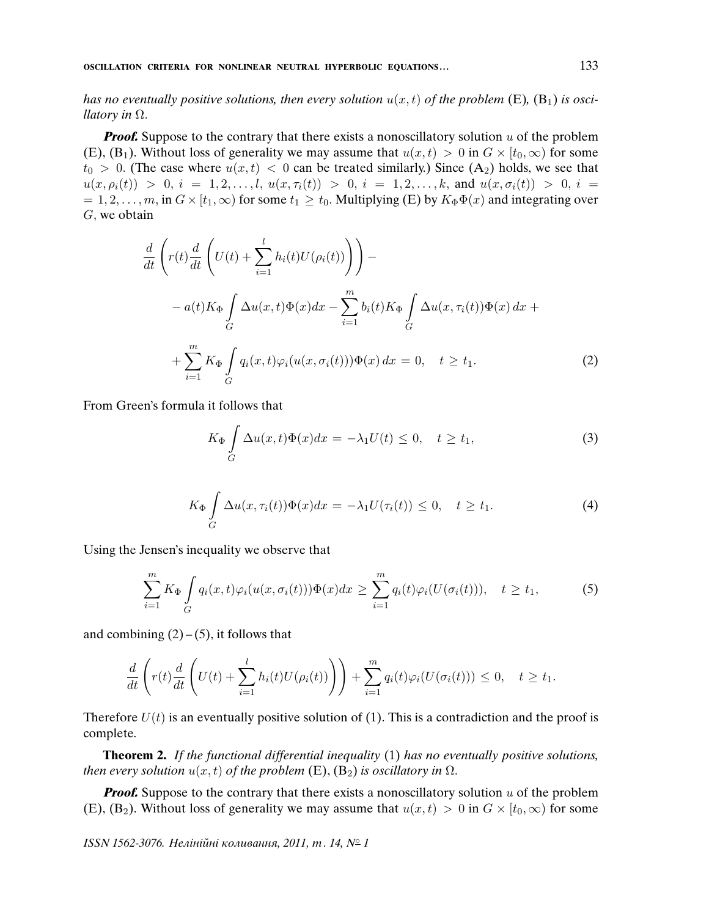has no eventually positive solutions, then every solution  $u(x, t)$  of the problem (E), (B<sub>1</sub>) is osci*llatory in*  $\Omega$ .

**Proof.** Suppose to the contrary that there exists a nonoscillatory solution  $u$  of the problem (E), (B<sub>1</sub>). Without loss of generality we may assume that  $u(x, t) > 0$  in  $G \times [t_0, \infty)$  for some  $t_0 > 0$ . (The case where  $u(x, t) < 0$  can be treated similarly.) Since  $(A_2)$  holds, we see that  $u(x, \rho_i(t)) > 0, i = 1, 2, \ldots, l, u(x, \tau_i(t)) > 0, i = 1, 2, \ldots, k, \text{ and } u(x, \sigma_i(t)) > 0, i = 1, 2, \ldots, k$  $= 1, 2, \ldots, m$ , in  $G \times [t_1, \infty)$  for some  $t_1 \ge t_0$ . Multiplying (E) by  $K_{\Phi} \Phi(x)$  and integrating over  $G$ , we obtain

$$
\frac{d}{dt}\left(r(t)\frac{d}{dt}\left(U(t)+\sum_{i=1}^{l}h_i(t)U(\rho_i(t))\right)\right)-
$$
\n
$$
-a(t)K_{\Phi}\int_{G}\Delta u(x,t)\Phi(x)dx-\sum_{i=1}^{m}b_i(t)K_{\Phi}\int_{G}\Delta u(x,\tau_i(t))\Phi(x)dx +
$$
\n
$$
+\sum_{i=1}^{m}K_{\Phi}\int_{G}q_i(x,t)\varphi_i(u(x,\sigma_i(t)))\Phi(x)dx=0, \quad t \geq t_1.
$$
\n(2)

From Green's formula it follows that

$$
K_{\Phi} \int_{G} \Delta u(x,t) \Phi(x) dx = -\lambda_1 U(t) \leq 0, \quad t \geq t_1,
$$
\n(3)

$$
K_{\Phi} \int\limits_G \Delta u(x, \tau_i(t)) \Phi(x) dx = -\lambda_1 U(\tau_i(t)) \leq 0, \quad t \geq t_1.
$$
 (4)

Using the Jensen's inequality we observe that

$$
\sum_{i=1}^{m} K_{\Phi} \int_{G} q_i(x, t) \varphi_i(u(x, \sigma_i(t))) \Phi(x) dx \geq \sum_{i=1}^{m} q_i(t) \varphi_i(U(\sigma_i(t))), \quad t \geq t_1,
$$
 (5)

and combining  $(2) - (5)$ , it follows that

$$
\frac{d}{dt}\left(r(t)\frac{d}{dt}\left(U(t)+\sum_{i=1}^l h_i(t)U(\rho_i(t))\right)\right)+\sum_{i=1}^m q_i(t)\varphi_i(U(\sigma_i(t)))\leq 0, \quad t\geq t_1.
$$

Therefore  $U(t)$  is an eventually positive solution of (1). This is a contradiction and the proof is complete.

**Theorem 2.** If the functional differential inequality (1) has no eventually positive solutions, then every solution  $u(x, t)$  of the problem (E), (B<sub>2</sub>) is oscillatory in  $\Omega$ .

**Proof.** Suppose to the contrary that there exists a nonoscillatory solution  $u$  of the problem (E), (B<sub>2</sub>). Without loss of generality we may assume that  $u(x, t) > 0$  in  $G \times [t_0, \infty)$  for some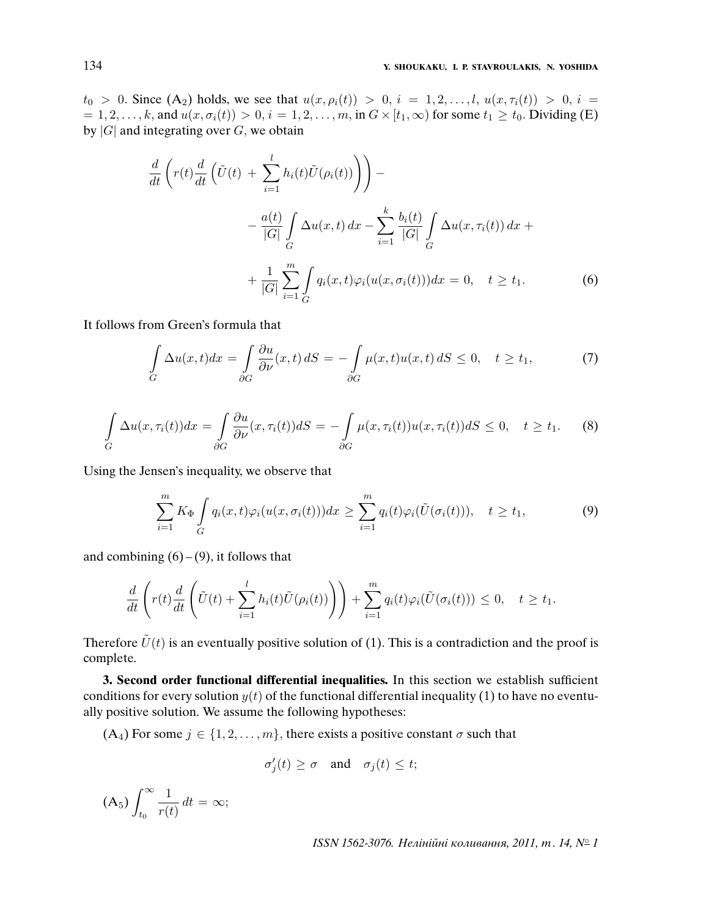$t_0 > 0$ . Since  $(A_2)$  holds, we see that  $u(x, \rho_i(t)) > 0$ ,  $i = 1, 2, ..., l$ ,  $u(x, \tau_i(t)) > 0$ ,  $i =$  $i = 1, 2, \ldots, k$ , and  $u(x, \sigma_i(t)) > 0$ ,  $i = 1, 2, \ldots, m$ , in  $G \times [t_1, \infty)$  for some  $t_1 \ge t_0$ . Dividing (E) by  $|G|$  and integrating over  $G$ , we obtain

$$
\frac{d}{dt}\left(r(t)\frac{d}{dt}\left(\tilde{U}(t) + \sum_{i=1}^{l} h_i(t)\tilde{U}(\rho_i(t))\right)\right) - \frac{a(t)}{|G|}\int_{G} \Delta u(x,t) dx - \sum_{i=1}^{k} \frac{b_i(t)}{|G|}\int_{G} \Delta u(x,\tau_i(t)) dx + \frac{1}{|G|}\sum_{i=1}^{m} \int_{G} q_i(x,t)\varphi_i(u(x,\sigma_i(t))) dx = 0, \quad t \ge t_1.
$$
\n(6)

It follows from Green's formula that

$$
\int_{G} \Delta u(x,t)dx = \int_{\partial G} \frac{\partial u}{\partial \nu}(x,t) dS = -\int_{\partial G} \mu(x,t)u(x,t) dS \le 0, \quad t \ge t_1,
$$
\n(7)

$$
\int_{G} \Delta u(x, \tau_i(t)) dx = \int_{\partial G} \frac{\partial u}{\partial \nu}(x, \tau_i(t)) dS = -\int_{\partial G} \mu(x, \tau_i(t)) u(x, \tau_i(t)) dS \le 0, \quad t \ge t_1.
$$
 (8)

Using the Jensen's inequality, we observe that

$$
\sum_{i=1}^{m} K_{\Phi} \int_{G} q_i(x, t) \varphi_i(u(x, \sigma_i(t))) dx \geq \sum_{i=1}^{m} q_i(t) \varphi_i(\tilde{U}(\sigma_i(t))), \quad t \geq t_1,
$$
\n(9)

and combining  $(6) - (9)$ , it follows that

$$
\frac{d}{dt}\left(r(t)\frac{d}{dt}\left(\tilde{U}(t)+\sum_{i=1}^l h_i(t)\tilde{U}(\rho_i(t))\right)\right)+\sum_{i=1}^m q_i(t)\varphi_i(\tilde{U}(\sigma_i(t)))\leq 0, \quad t\geq t_1.
$$

Therefore  $\tilde{U}(t)$  is an eventually positive solution of (1). This is a contradiction and the proof is complete.

**3. Second order functional differential inequalities.** In this section we establish sufficient conditions for every solution  $y(t)$  of the functional differential inequality (1) to have no eventually positive solution. We assume the following hypotheses:

 $(A_4)$  For some  $j \in \{1, 2, ..., m\}$ , there exists a positive constant  $\sigma$  such that

$$
\sigma'_j(t) \ge \sigma \quad \text{and} \quad \sigma_j(t) \le t;
$$

 $(A_5)\int^\infty$  $t_0$ 1  $\frac{1}{r(t)} dt = \infty;$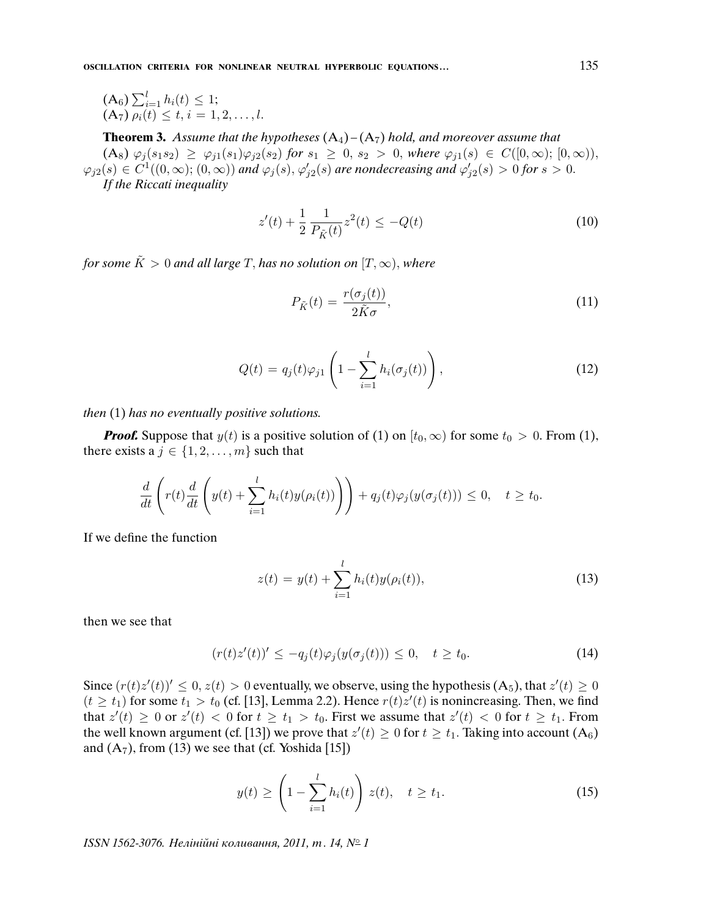**OSCILLATION CRITERIA FOR NONLINEAR NEUTRAL HYPERBOLIC EQUATIONS...** 135

$$
\begin{array}{ll} \n\text{(A6)} \sum_{i=1}^{l} h_i(t) \leq 1; \\
\text{(A7)} \rho_i(t) \leq t, i = 1, 2, \dots, l.\n\end{array}
$$

**Theorem 3.** Assume that the hypotheses  $(A_4) - (A_7)$  hold, and moreover assume that  $(A_8)$   $\varphi_j(s_1s_2) \ge \varphi_{j1}(s_1)\varphi_{j2}(s_2)$  for  $s_1 \ge 0$ ,  $s_2 > 0$ , where  $\varphi_{j1}(s) \in C([0,\infty); [0,\infty)),$  $\varphi_{j2}(s)\in C^1((0,\infty);(0,\infty))$  and  $\varphi_j(s),\varphi_{j2}'(s)$  are nondecreasing and  $\varphi_{j2}'(s)>0$  for  $s>0.$ If the Riccati inequality

$$
z'(t) + \frac{1}{2} \frac{1}{P_{\tilde{K}}(t)} z^2(t) \le -Q(t)
$$
\n(10)

for some  $\tilde{K} > 0$  and all large T, has no solution on  $[T, \infty)$ , where

$$
P_{\tilde{K}}(t) = \frac{r(\sigma_j(t))}{2\tilde{K}\sigma},\tag{11}
$$

$$
Q(t) = q_j(t)\varphi_{j1}\left(1 - \sum_{i=1}^l h_i(\sigma_j(t))\right),\tag{12}
$$

then (1) has no eventually positive solutions.

**Proof.** Suppose that  $y(t)$  is a positive solution of (1) on  $[t_0, \infty)$  for some  $t_0 > 0$ . From (1), there exists a  $j \in \{1, 2, \ldots, m\}$  such that

$$
\frac{d}{dt}\left(r(t)\frac{d}{dt}\left(y(t)+\sum_{i=1}^l h_i(t)y(\rho_i(t))\right)\right)+q_j(t)\varphi_j(y(\sigma_j(t)))\leq 0, \quad t\geq t_0.
$$

If we define the function

$$
z(t) = y(t) + \sum_{i=1}^{l} h_i(t)y(\rho_i(t)),
$$
\n(13)

then we see that

$$
(r(t)z'(t))' \le -q_j(t)\varphi_j(y(\sigma_j(t))) \le 0, \quad t \ge t_0.
$$
\n
$$
(14)
$$

Since  $(r(t)z'(t))' \leq 0, z(t) > 0$  eventually, we observe, using the hypothesis  $(A_5)$ , that  $z'(t) \geq 0$  $(t \geq t_1)$  for some  $t_1 > t_0$  (cf. [13], Lemma 2.2). Hence  $r(t)z'(t)$  is nonincreasing. Then, we find that  $z'(t) \geq 0$  or  $z'(t) < 0$  for  $t \geq t_1 > t_0$ . First we assume that  $z'(t) < 0$  for  $t \geq t_1$ . From the well known argument (cf. [13]) we prove that  $z'(t) \geq 0$  for  $t \geq t_1$ . Taking into account  $(A_6)$ and  $(A_7)$ , from (13) we see that (cf. Yoshida [15])

$$
y(t) \ge \left(1 - \sum_{i=1}^{l} h_i(t)\right) z(t), \quad t \ge t_1.
$$
 (15)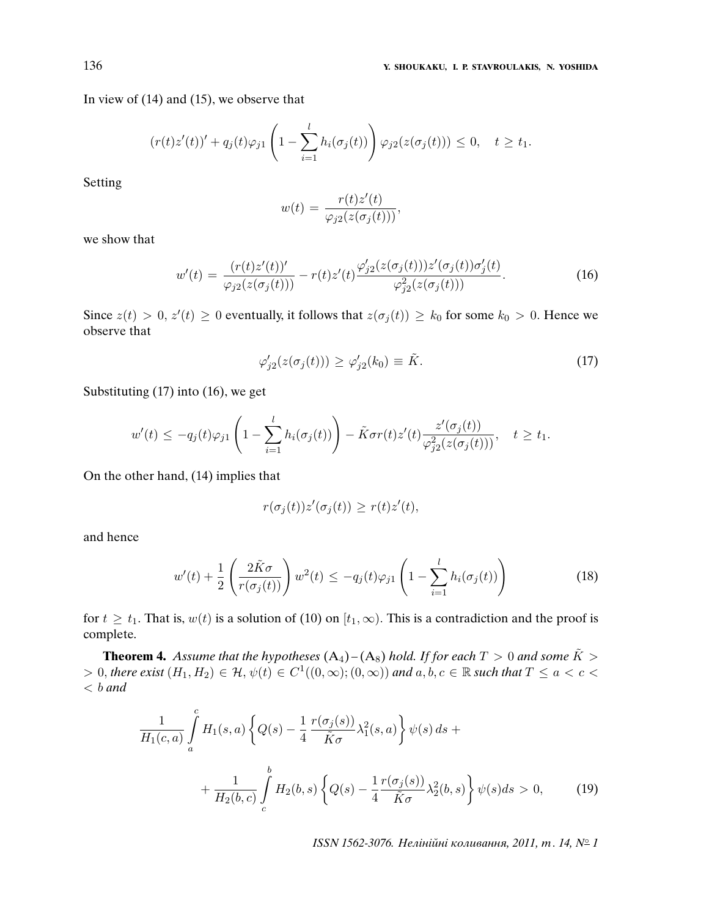In view of (14) and (15), we observe that

$$
(r(t)z'(t))' + q_j(t)\varphi_{j1}\left(1 - \sum_{i=1}^l h_i(\sigma_j(t))\right)\varphi_{j2}(z(\sigma_j(t))) \leq 0, \quad t \geq t_1.
$$

Setting

$$
w(t) = \frac{r(t)z'(t)}{\varphi_{j2}(z(\sigma_j(t)))},
$$

we show that

$$
w'(t) = \frac{(r(t)z'(t))'}{\varphi_{j2}(z(\sigma_j(t)))} - r(t)z'(t)\frac{\varphi_{j2}'(z(\sigma_j(t)))z'(\sigma_j(t))\sigma_j'(t)}{\varphi_{j2}^2(z(\sigma_j(t)))}.
$$
\n(16)

Since  $z(t) > 0$ ,  $z'(t) \ge 0$  eventually, it follows that  $z(\sigma_j(t)) \ge k_0$  for some  $k_0 > 0$ . Hence we observe that

$$
\varphi'_{j2}(z(\sigma_j(t))) \ge \varphi'_{j2}(k_0) \equiv \tilde{K}.\tag{17}
$$

Substituting (17) into (16), we get

$$
w'(t) \leq -q_j(t)\varphi_{j1}\left(1 - \sum_{i=1}^l h_i(\sigma_j(t))\right) - \tilde{K}\sigma r(t)z'(t)\frac{z'(\sigma_j(t))}{\varphi_{j2}^2(z(\sigma_j(t)))}, \quad t \geq t_1.
$$

On the other hand, (14) implies that

$$
r(\sigma_j(t))z'(\sigma_j(t)) \ge r(t)z'(t),
$$

and hence

$$
w'(t) + \frac{1}{2} \left( \frac{2\tilde{K}\sigma}{r(\sigma_j(t))} \right) w^2(t) \le -q_j(t)\varphi_{j1} \left( 1 - \sum_{i=1}^l h_i(\sigma_j(t)) \right) \tag{18}
$$

for  $t \geq t_1$ . That is,  $w(t)$  is a solution of (10) on  $[t_1, \infty)$ . This is a contradiction and the proof is complete.

**Theorem 4.** Assume that the hypotheses  $(A_4) - (A_8)$  hold. If for each  $T > 0$  and some  $\tilde{K} > 0$  $> 0$ , there exist  $(H_1, H_2) \in \mathcal{H}$ ,  $\psi(t) \in C^1((0, \infty); (0, \infty))$  and  $a, b, c \in \mathbb{R}$  such that  $T \le a < c <$  $< b$  and

$$
\frac{1}{H_1(c,a)} \int_a^c H_1(s,a) \left\{ Q(s) - \frac{1}{4} \frac{r(\sigma_j(s))}{\tilde{K}\sigma} \lambda_1^2(s,a) \right\} \psi(s) ds + \n+ \frac{1}{H_2(b,c)} \int_c^b H_2(b,s) \left\{ Q(s) - \frac{1}{4} \frac{r(\sigma_j(s))}{\tilde{K}\sigma} \lambda_2^2(b,s) \right\} \psi(s) ds > 0,
$$
\n(19)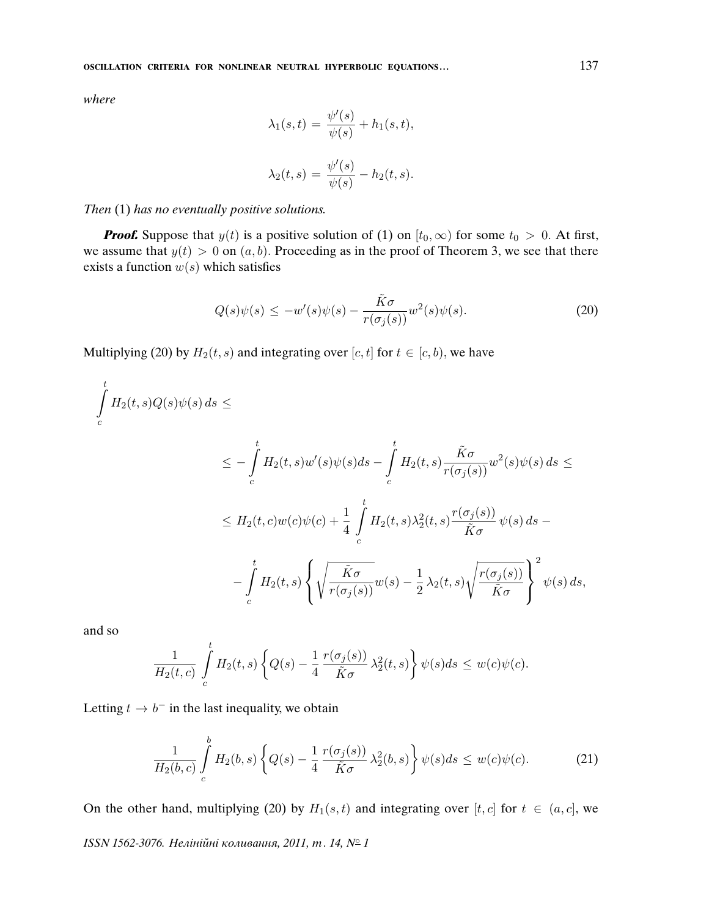where

$$
\lambda_1(s,t) = \frac{\psi'(s)}{\psi(s)} + h_1(s,t),
$$
  

$$
\lambda_2(t,s) = \frac{\psi'(s)}{\psi(s)} - h_2(t,s).
$$

### Then (1) has no eventually positive solutions.

**Proof.** Suppose that  $y(t)$  is a positive solution of (1) on  $[t_0, \infty)$  for some  $t_0 > 0$ . At first, we assume that  $y(t) > 0$  on  $(a, b)$ . Proceeding as in the proof of Theorem 3, we see that there exists a function  $w(s)$  which satisfies

$$
Q(s)\psi(s) \le -w'(s)\psi(s) - \frac{\tilde{K}\sigma}{r(\sigma_j(s))}w^2(s)\psi(s). \tag{20}
$$

Multiplying (20) by  $H_2(t, s)$  and integrating over  $[c, t]$  for  $t \in [c, b)$ , we have

$$
\int_{c}^{t} H_{2}(t,s)Q(s)\psi(s) ds \le
$$
\n
$$
\le -\int_{c}^{t} H_{2}(t,s)w'(s)\psi(s)ds - \int_{c}^{t} H_{2}(t,s)\frac{\tilde{K}\sigma}{r(\sigma_{j}(s))}w^{2}(s)\psi(s) ds \le
$$
\n
$$
\le H_{2}(t,c)w(c)\psi(c) + \frac{1}{4}\int_{c}^{t} H_{2}(t,s)\lambda_{2}^{2}(t,s)\frac{r(\sigma_{j}(s))}{\tilde{K}\sigma}\psi(s) ds - \frac{1}{2}\int_{c}^{t} H_{2}(t,s)\left\{\sqrt{\frac{\tilde{K}\sigma}{r(\sigma_{j}(s))}}w(s) - \frac{1}{2}\lambda_{2}(t,s)\sqrt{\frac{r(\sigma_{j}(s))}{\tilde{K}\sigma}}\right\}^{2}\psi(s) ds,
$$

and so

$$
\frac{1}{H_2(t,c)}\int\limits_c^tH_2(t,s)\left\{Q(s)-\frac{1}{4}\,\frac{r(\sigma_j(s))}{\tilde{K}\sigma}\,\lambda_2^2(t,s)\right\}\psi(s)ds\leq w(c)\psi(c).
$$

Letting  $t \to b^-$  in the last inequality, we obtain

$$
\frac{1}{H_2(b,c)} \int\limits_c^b H_2(b,s) \left\{ Q(s) - \frac{1}{4} \frac{r(\sigma_j(s))}{\tilde{K}\sigma} \lambda_2^2(b,s) \right\} \psi(s) ds \leq w(c)\psi(c). \tag{21}
$$

On the other hand, multiplying (20) by  $H_1(s,t)$  and integrating over [t, c] for  $t \in (a, c]$ , we ISSN 1562-3076. Нелінійні коливання, 2011, т. 14, № 1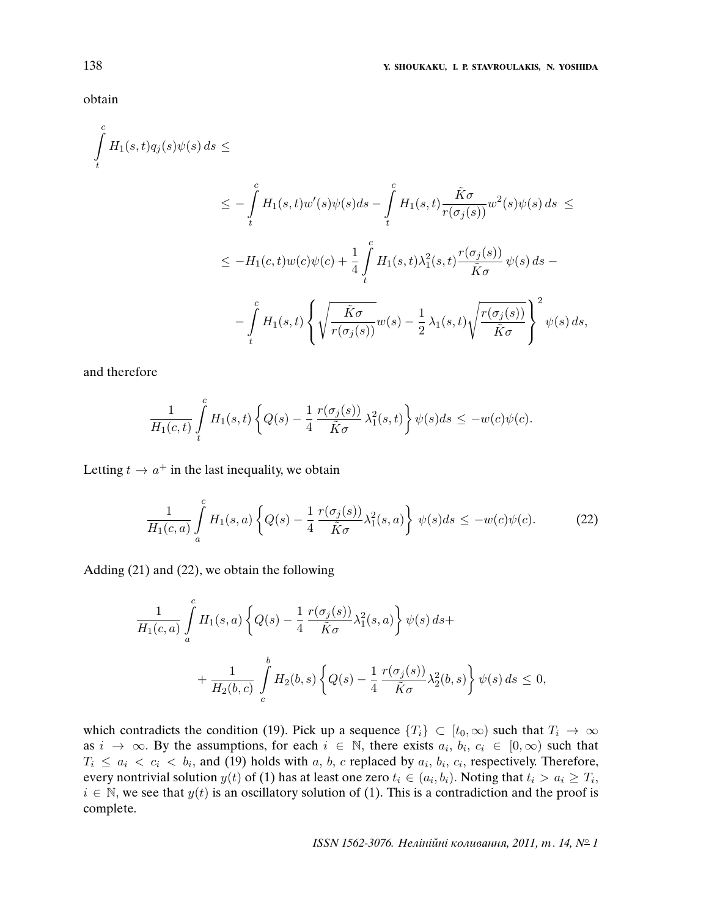obtain

$$
\int_{t}^{c} H_{1}(s,t)q_{j}(s)\psi(s) ds \le
$$
\n
$$
\le -\int_{t}^{c} H_{1}(s,t)w'(s)\psi(s)ds - \int_{t}^{c} H_{1}(s,t)\frac{\tilde{K}\sigma}{r(\sigma_{j}(s))}w^{2}(s)\psi(s) ds \le
$$
\n
$$
\le -H_{1}(c,t)w(c)\psi(c) + \frac{1}{4}\int_{t}^{c} H_{1}(s,t)\lambda_{1}^{2}(s,t)\frac{r(\sigma_{j}(s))}{\tilde{K}\sigma}\psi(s) ds - \int_{t}^{c} H_{1}(s,t)\left\{\sqrt{\frac{\tilde{K}\sigma}{r(\sigma_{j}(s))}}w(s) - \frac{1}{2}\lambda_{1}(s,t)\sqrt{\frac{r(\sigma_{j}(s))}{\tilde{K}\sigma}}\right\}^{2}\psi(s) ds,
$$

and therefore

$$
\frac{1}{H_1(c,t)}\int\limits_t^cH_1(s,t)\left\{Q(s)-\frac{1}{4}\,\frac{r(\sigma_j(s))}{\tilde{K}\sigma}\,\lambda_1^2(s,t)\right\}\psi(s)ds\leq -w(c)\psi(c).
$$

Letting  $t \to a^+$  in the last inequality, we obtain

$$
\frac{1}{H_1(c,a)}\int\limits_a^c H_1(s,a)\left\{Q(s)-\frac{1}{4}\frac{r(\sigma_j(s))}{\tilde{K}\sigma}\lambda_1^2(s,a)\right\}\psi(s)ds \le -w(c)\psi(c). \tag{22}
$$

Adding (21) and (22), we obtain the following

$$
\frac{1}{H_1(c,a)} \int_a^c H_1(s,a) \left\{ Q(s) - \frac{1}{4} \frac{r(\sigma_j(s))}{\tilde{K}\sigma} \lambda_1^2(s,a) \right\} \psi(s) ds +
$$
  
+ 
$$
\frac{1}{H_2(b,c)} \int_c^b H_2(b,s) \left\{ Q(s) - \frac{1}{4} \frac{r(\sigma_j(s))}{\tilde{K}\sigma} \lambda_2^2(b,s) \right\} \psi(s) ds \le 0,
$$

which contradicts the condition (19). Pick up a sequence  $\{T_i\} \subset [t_0,\infty)$  such that  $T_i \to \infty$ as  $i \to \infty$ . By the assumptions, for each  $i \in \mathbb{N}$ , there exists  $a_i, b_i, c_i \in [0, \infty)$  such that  $T_i \le a_i \langle c_i \rangle$  and (19) holds with a, b, c replaced by  $a_i$ ,  $b_i$ ,  $c_i$ , respectively. Therefore, every nontrivial solution  $y(t)$  of (1) has at least one zero  $t_i \in (a_i, b_i)$ . Noting that  $t_i > a_i \geq T_i$ ,  $i \in \mathbb{N}$ , we see that  $y(t)$  is an oscillatory solution of (1). This is a contradiction and the proof is complete.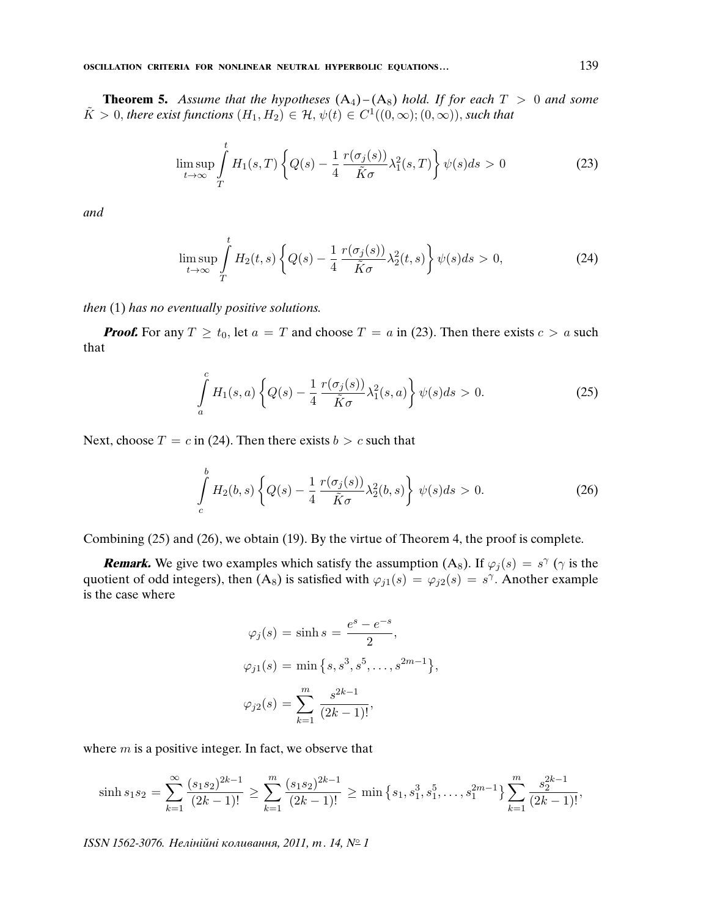**Theorem 5.** Assume that the hypotheses  $(A_4)$ – $(A_8)$  hold. If for each  $T > 0$  and some  $\tilde{K} > 0$ , there exist functions  $(H_1, H_2) \in \mathcal{H}$ ,  $\psi(t) \in C^1((0, \infty); (0, \infty))$ , such that

$$
\limsup_{t \to \infty} \int_{T}^{t} H_1(s, T) \left\{ Q(s) - \frac{1}{4} \frac{r(\sigma_j(s))}{\tilde{K}\sigma} \lambda_1^2(s, T) \right\} \psi(s) ds > 0
$$
\n(23)

and

$$
\limsup_{t \to \infty} \int_{T}^{t} H_2(t,s) \left\{ Q(s) - \frac{1}{4} \frac{r(\sigma_j(s))}{\tilde{K}\sigma} \lambda_2^2(t,s) \right\} \psi(s) ds > 0,
$$
\n(24)

then (1) has no eventually positive solutions.

 $\mathbf{r}$ 

**Proof.** For any  $T \ge t_0$ , let  $a = T$  and choose  $T = a$  in (23). Then there exists  $c > a$  such that

$$
\int_{a}^{c} H_1(s, a) \left\{ Q(s) - \frac{1}{4} \frac{r(\sigma_j(s))}{\tilde{K}\sigma} \lambda_1^2(s, a) \right\} \psi(s) ds > 0.
$$
\n(25)

Next, choose  $T = c$  in (24). Then there exists  $b > c$  such that

$$
\int_{c}^{b} H_2(b,s) \left\{ Q(s) - \frac{1}{4} \frac{r(\sigma_j(s))}{\tilde{K}\sigma} \lambda_2^2(b,s) \right\} \psi(s) ds > 0.
$$
 (26)

Combining (25) and (26), we obtain (19). By the virtue of Theorem 4, the proof is complete.

**Remark.** We give two examples which satisfy the assumption (A<sub>8</sub>). If  $\varphi_j(s) = s^\gamma$  ( $\gamma$  is the quotient of odd integers), then  $(A_8)$  is satisfied with  $\varphi_{j1}(s) = \varphi_{j2}(s) = s^{\gamma}$ . Another example is the case where

$$
\varphi_j(s) = \sinh s = \frac{e^s - e^{-s}}{2},
$$
  

$$
\varphi_{j1}(s) = \min \{s, s^3, s^5, \dots, s^{2m-1}\},
$$
  

$$
\varphi_{j2}(s) = \sum_{k=1}^m \frac{s^{2k-1}}{(2k-1)!},
$$

where  $m$  is a positive integer. In fact, we observe that

$$
\sinh s_1 s_2 = \sum_{k=1}^{\infty} \frac{(s_1 s_2)^{2k-1}}{(2k-1)!} \ge \sum_{k=1}^{m} \frac{(s_1 s_2)^{2k-1}}{(2k-1)!} \ge \min\left\{s_1, s_1^3, s_1^5, \dots, s_1^{2m-1}\right\} \sum_{k=1}^{m} \frac{s_2^{2k-1}}{(2k-1)!},
$$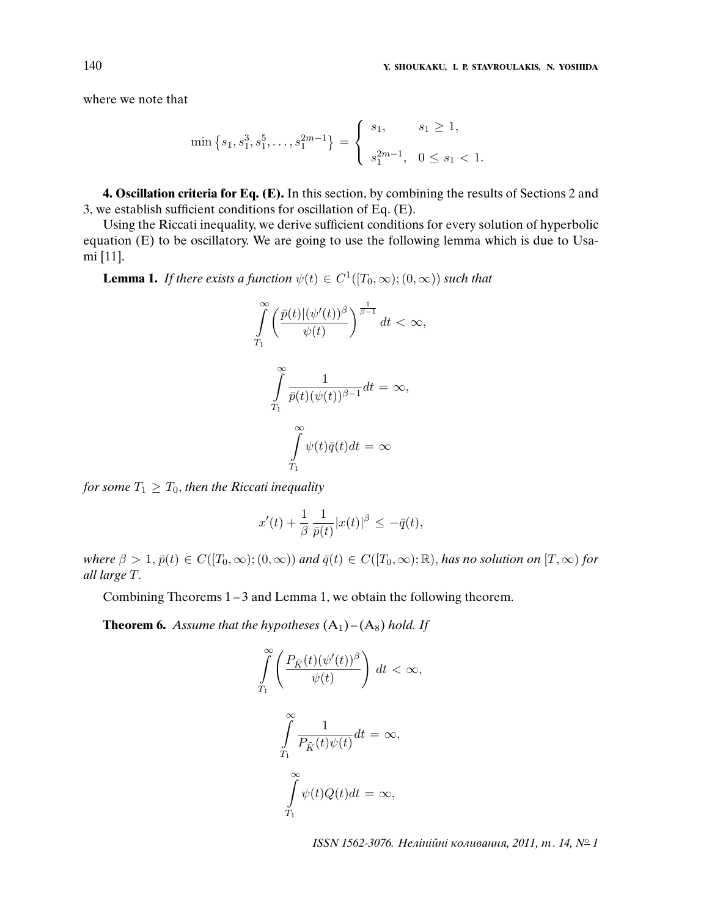where we note that

$$
\min\left\{s_1, s_1^3, s_1^5, \dots, s_1^{2m-1}\right\} = \begin{cases} s_1, & s_1 \ge 1, \\ s_1^{2m-1}, & 0 \le s_1 < 1. \end{cases}
$$

**4. Oscillation criteria for Eq. (E).** In this section, by combining the results of Sections 2 and 3, we establish sufficient conditions for oscillation of Eq. (E).

Using the Riccati inequality, we derive sufficient conditions for every solution of hyperbolic equation (E) to be oscillatory. We are going to use the following lemma which is due to Usami [11].

**Lemma 1.** If there exists a function  $\psi(t) \in C^1([T_0,\infty);(0,\infty))$  such that

$$
\int_{T_1}^{\infty} \left( \frac{\bar{p}(t) |(\psi'(t))^{\beta}}{\psi(t)} \right)^{\frac{1}{\beta - 1}} dt < \infty,
$$
\n
$$
\int_{T_1}^{\infty} \frac{1}{\bar{p}(t)(\psi(t))^{\beta - 1}} dt = \infty,
$$
\n
$$
\int_{T_1}^{\infty} \psi(t)\bar{q}(t)dt = \infty
$$

for some  $T_1 \geq T_0$ , then the Riccati inequality

$$
x'(t) + \frac{1}{\beta} \frac{1}{\bar{p}(t)} |x(t)|^{\beta} \le -\bar{q}(t),
$$

where  $\beta > 1$ ,  $\bar{p}(t) \in C([T_0,\infty);(0,\infty))$  and  $\bar{q}(t) \in C([T_0,\infty); \mathbb{R})$ , has no solution on  $[T,\infty)$  for all large T.

Combining Theorems 1 – 3 and Lemma 1, we obtain the following theorem.

**Theorem 6.** Assume that the hypotheses  $(A_1) - (A_8)$  hold. If

$$
\int_{T_1}^{\infty} \left( \frac{P_{\tilde{K}}(t)(\psi'(t))^{\beta}}{\psi(t)} \right) dt < \infty,
$$
  

$$
\int_{T_1}^{\infty} \frac{1}{P_{\tilde{K}}(t)\psi(t)} dt = \infty,
$$
  

$$
\int_{T_1}^{\infty} \psi(t)Q(t)dt = \infty,
$$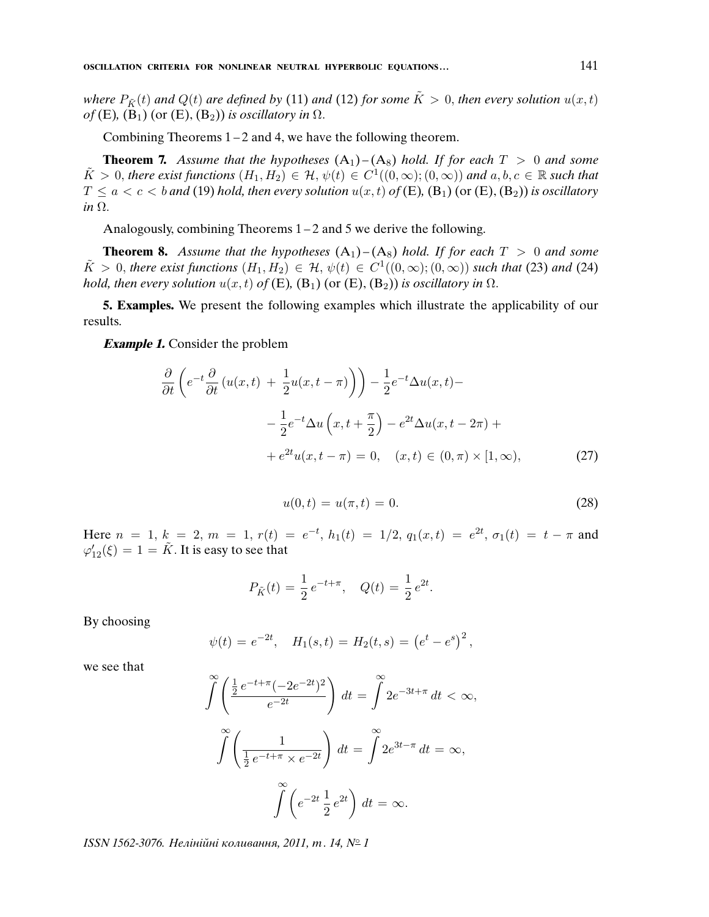where  $P_{\tilde{K}}(t)$  and  $Q(t)$  are defined by (11) and (12) for some  $\tilde{K} > 0$ , then every solution  $u(x, t)$ of (E),  $(B_1)$  (or (E),  $(B_2)$ ) is oscillatory in  $\Omega$ .

Combining Theorems  $1 - 2$  and 4, we have the following theorem.

**Theorem 7.** Assume that the hypotheses  $(A_1) - (A_8)$  hold. If for each  $T > 0$  and some  $\tilde{K} > 0$ , there exist functions  $(H_1, H_2) \in \mathcal{H}$ ,  $\psi(t) \in C^1((0,\infty);(0,\infty))$  and  $a, b, c \in \mathbb{R}$  such that  $T \le a < c < b$  and (19) hold, then every solution  $u(x, t)$  of (E), (B<sub>1</sub>) (or (E), (B<sub>2</sub>)) is oscillatory in  $\Omega$ .

Analogously, combining Theorems 1 – 2 and 5 we derive the following.

**Theorem 8.** Assume that the hypotheses  $(A_1) - (A_8)$  hold. If for each  $T > 0$  and some  $\tilde{K} > 0$ , there exist functions  $(H_1, H_2) \in \mathcal{H}$ ,  $\psi(t) \in C^1((0, \infty); (0, \infty))$  such that (23) and (24) hold, then every solution  $u(x, t)$  of (E), (B<sub>1</sub>) (or (E), (B<sub>2</sub>)) is oscillatory in  $\Omega$ .

**5. Examples.** We present the following examples which illustrate the applicability of our results.

**Example 1.** Consider the problem

$$
\frac{\partial}{\partial t} \left( e^{-t} \frac{\partial}{\partial t} \left( u(x, t) + \frac{1}{2} u(x, t - \pi) \right) \right) - \frac{1}{2} e^{-t} \Delta u(x, t) -
$$

$$
- \frac{1}{2} e^{-t} \Delta u \left( x, t + \frac{\pi}{2} \right) - e^{2t} \Delta u(x, t - 2\pi) +
$$

$$
+ e^{2t} u(x, t - \pi) = 0, \quad (x, t) \in (0, \pi) \times [1, \infty), \tag{27}
$$

$$
u(0,t) = u(\pi, t) = 0.
$$
 (28)

Here  $n = 1$ ,  $k = 2$ ,  $m = 1$ ,  $r(t) = e^{-t}$ ,  $h_1(t) = 1/2$ ,  $q_1(x,t) = e^{2t}$ ,  $\sigma_1(t) = t - \pi$  and  $\varphi'_{12}(\xi) = 1 = \tilde{K}$ . It is easy to see that

$$
P_{\tilde{K}}(t) = \frac{1}{2} e^{-t + \pi}, \quad Q(t) = \frac{1}{2} e^{2t}.
$$

By choosing

$$
\psi(t) = e^{-2t}
$$
,  $H_1(s,t) = H_2(t,s) = (e^t - e^s)^2$ ,

we see that

$$
\int_{0}^{\infty} \left( \frac{\frac{1}{2} e^{-t + \pi} (-2e^{-2t})^2}{e^{-2t}} \right) dt = \int_{0}^{\infty} 2e^{-3t + \pi} dt < \infty,
$$

$$
\int_{0}^{\infty} \left( \frac{1}{\frac{1}{2} e^{-t + \pi} \times e^{-2t}} \right) dt = \int_{0}^{\infty} 2e^{3t - \pi} dt = \infty,
$$

$$
\int_{0}^{\infty} \left( e^{-2t} \frac{1}{2} e^{2t} \right) dt = \infty.
$$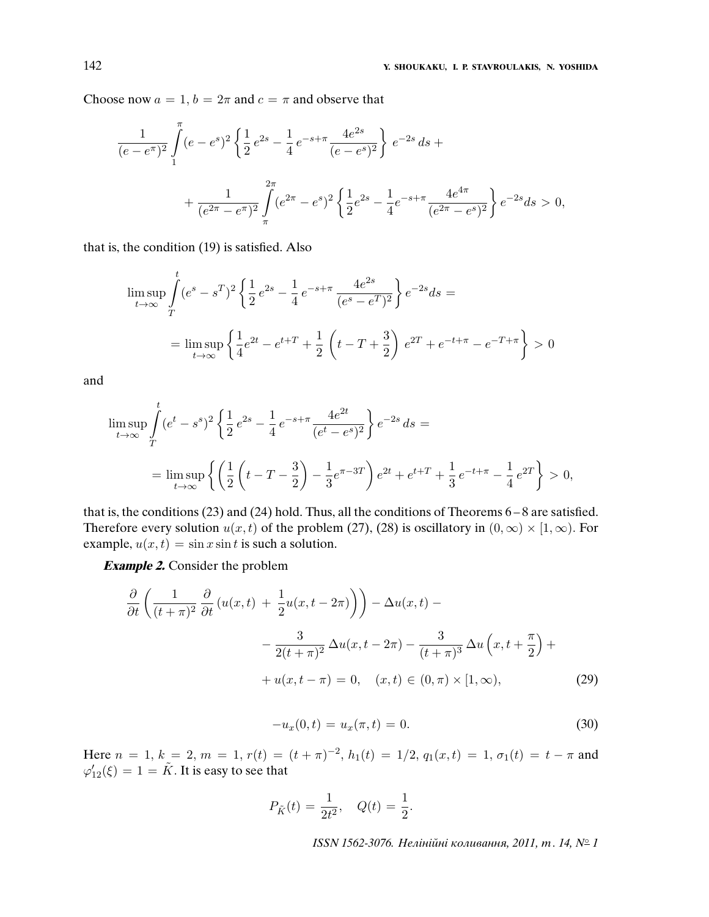Choose now  $a = 1$ ,  $b = 2\pi$  and  $c = \pi$  and observe that

$$
\frac{1}{(e - e^{\pi})^2} \int_{1}^{\pi} (e - e^s)^2 \left\{ \frac{1}{2} e^{2s} - \frac{1}{4} e^{-s + \pi} \frac{4e^{2s}}{(e - e^s)^2} \right\} e^{-2s} ds +
$$

$$
+ \frac{1}{(e^{2\pi} - e^{\pi})^2} \int_{\pi}^{2\pi} (e^{2\pi} - e^s)^2 \left\{ \frac{1}{2} e^{2s} - \frac{1}{4} e^{-s + \pi} \frac{4e^{4\pi}}{(e^{2\pi} - e^s)^2} \right\} e^{-2s} ds > 0,
$$

that is, the condition (19) is satisfied. Also

$$
\limsup_{t \to \infty} \int_{T}^{t} (e^s - s^T)^2 \left\{ \frac{1}{2} e^{2s} - \frac{1}{4} e^{-s + \pi} \frac{4e^{2s}}{(e^s - e^T)^2} \right\} e^{-2s} ds =
$$
\n
$$
= \limsup_{t \to \infty} \left\{ \frac{1}{4} e^{2t} - e^{t+T} + \frac{1}{2} \left( t - T + \frac{3}{2} \right) e^{2T} + e^{-t + \pi} - e^{-T + \pi} \right\} > 0
$$

and

$$
\limsup_{t \to \infty} \int_{T}^{t} (e^t - s^s)^2 \left\{ \frac{1}{2} e^{2s} - \frac{1}{4} e^{-s + \pi} \frac{4e^{2t}}{(e^t - e^s)^2} \right\} e^{-2s} ds =
$$
\n
$$
= \limsup_{t \to \infty} \left\{ \left( \frac{1}{2} \left( t - T - \frac{3}{2} \right) - \frac{1}{3} e^{\pi - 3T} \right) e^{2t} + e^{t + T} + \frac{1}{3} e^{-t + \pi} - \frac{1}{4} e^{2T} \right\} > 0,
$$

that is, the conditions (23) and (24) hold. Thus, all the conditions of Theorems 6 – 8 are satisfied. Therefore every solution  $u(x, t)$  of the problem (27), (28) is oscillatory in  $(0, \infty) \times [1, \infty)$ . For example,  $u(x, t) = \sin x \sin t$  is such a solution.

**Example 2.** Consider the problem

$$
\frac{\partial}{\partial t} \left( \frac{1}{(t+\pi)^2} \frac{\partial}{\partial t} \left( u(x,t) + \frac{1}{2} u(x,t - 2\pi) \right) \right) - \Delta u(x,t) -
$$

$$
- \frac{3}{2(t+\pi)^2} \Delta u(x,t - 2\pi) - \frac{3}{(t+\pi)^3} \Delta u \left( x, t + \frac{\pi}{2} \right) +
$$

$$
+ u(x,t - \pi) = 0, \quad (x,t) \in (0,\pi) \times [1,\infty), \tag{29}
$$

$$
-u_x(0,t) = u_x(\pi, t) = 0.
$$
\n(30)

Here  $n = 1, k = 2, m = 1, r(t) = (t + \pi)^{-2}, h_1(t) = 1/2, q_1(x, t) = 1, \sigma_1(t) = t - \pi$  and  $\varphi'_{12}(\xi) = 1 = \tilde{K}$ . It is easy to see that

$$
P_{\tilde{K}}(t) = \frac{1}{2t^2}, \quad Q(t) = \frac{1}{2}.
$$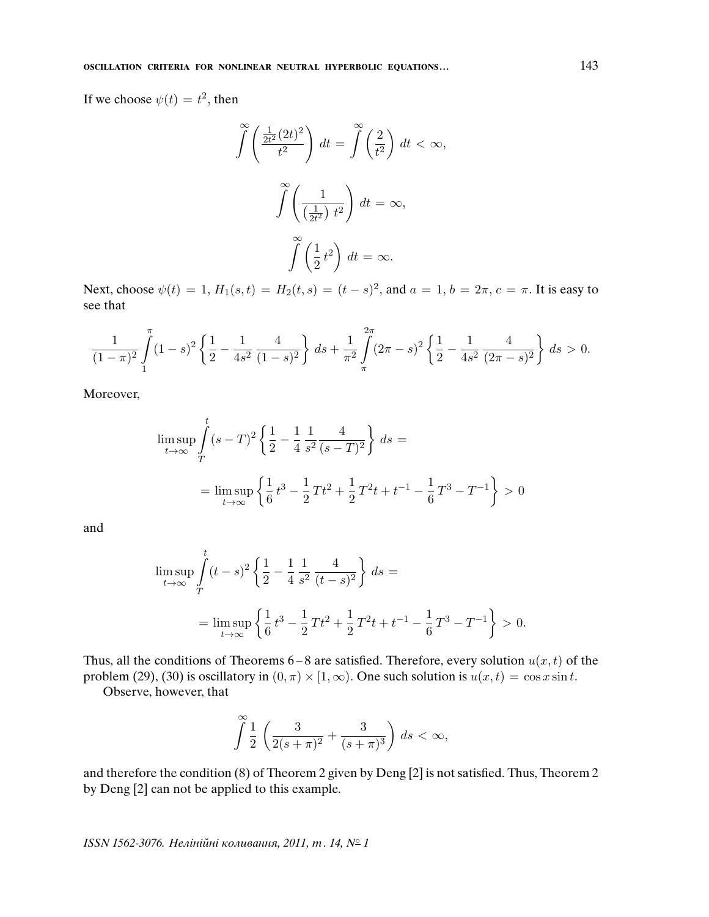If we choose  $\psi(t) = t^2$ , then

$$
\int_{0}^{\infty} \left( \frac{\frac{1}{2t^2} (2t)^2}{t^2} \right) dt = \int_{0}^{\infty} \left( \frac{2}{t^2} \right) dt < \infty,
$$

$$
\int_{0}^{\infty} \left( \frac{1}{\left( \frac{1}{2t^2} \right) t^2} \right) dt = \infty,
$$

$$
\int_{0}^{\infty} \left( \frac{1}{2} t^2 \right) dt = \infty.
$$

Next, choose  $\psi(t) = 1$ ,  $H_1(s,t) = H_2(t,s) = (t - s)^2$ , and  $a = 1$ ,  $b = 2\pi$ ,  $c = \pi$ . It is easy to see that

$$
\frac{1}{(1-\pi)^2} \int\limits_{1}^{\pi} (1-s)^2 \left\{ \frac{1}{2} - \frac{1}{4s^2} \frac{4}{(1-s)^2} \right\} \, ds + \frac{1}{\pi^2} \int\limits_{\pi}^{2\pi} (2\pi - s)^2 \left\{ \frac{1}{2} - \frac{1}{4s^2} \frac{4}{(2\pi - s)^2} \right\} \, ds > 0.
$$

Moreover,

$$
\limsup_{t \to \infty} \int_{T}^{t} (s - T)^{2} \left\{ \frac{1}{2} - \frac{1}{4} \frac{1}{s^{2}} \frac{4}{(s - T)^{2}} \right\} ds =
$$
\n
$$
= \limsup_{t \to \infty} \left\{ \frac{1}{6} t^{3} - \frac{1}{2} T t^{2} + \frac{1}{2} T^{2} t + t^{-1} - \frac{1}{6} T^{3} - T^{-1} \right\} > 0
$$

and

$$
\limsup_{t \to \infty} \int_{T}^{t} (t - s)^{2} \left\{ \frac{1}{2} - \frac{1}{4} \frac{1}{s^{2}} \frac{4}{(t - s)^{2}} \right\} ds =
$$
\n
$$
= \limsup_{t \to \infty} \left\{ \frac{1}{6} t^{3} - \frac{1}{2} T t^{2} + \frac{1}{2} T^{2} t + t^{-1} - \frac{1}{6} T^{3} - T^{-1} \right\} > 0.
$$

Thus, all the conditions of Theorems  $6-8$  are satisfied. Therefore, every solution  $u(x, t)$  of the problem (29), (30) is oscillatory in  $(0, \pi) \times [1, \infty)$ . One such solution is  $u(x, t) = \cos x \sin t$ .

Observe, however, that

$$
\int_{a}^{\infty} \frac{1}{2} \left( \frac{3}{2(s+\pi)^2} + \frac{3}{(s+\pi)^3} \right) ds < \infty,
$$

and therefore the condition (8) of Theorem 2 given by Deng [2] is not satisfied. Thus, Theorem 2 by Deng [2] can not be applied to this example.